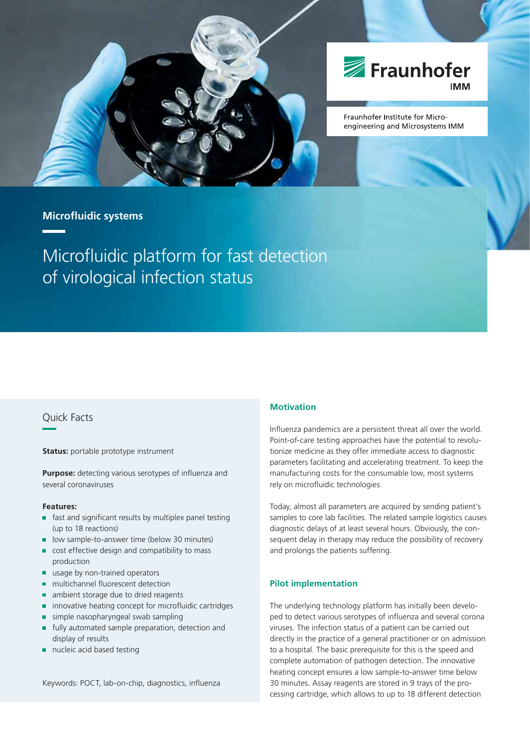



Fraunhofer Institute for Microengineering and Microsystems IMM

# **Microfl uidic systems**

Microfluidic platform for fast detection of virological infection status

## Quick Facts

**Status:** portable prototype instrument

**Purpose:** detecting various serotypes of influenza and several coronaviruses

#### **Features:**

- fast and significant results by multiplex panel testing (up to 18 reactions)
- low sample-to-answer time (below 30 minutes)
- cost effective design and compatibility to mass r. production
- $\blacksquare$ usage by non-trained operators
- multichannel fluorescent detection  $\blacksquare$
- $\blacksquare$ ambient storage due to dried reagents
- innovative heating concept for microfluidic cartridges  $\blacksquare$
- simple nasopharyngeal swab sampling
- fully automated sample preparation, detection and Ė display of results
- nucleic acid based testing  $\blacksquare$

Keywords: POCT, lab-on-chip, diagnostics, influenza

### **Motivation**

Influenza pandemics are a persistent threat all over the world. Point-of-care testing approaches have the potential to revolutionize medicine as they offer immediate access to diagnostic parameters facilitating and accelerating treatment. To keep the manufacturing costs for the consumable low, most systems rely on microfluidic technologies.

Today, almost all parameters are acquired by sending patient's samples to core lab facilities. The related sample logistics causes diagnostic delays of at least several hours. Obviously, the consequent delay in therapy may reduce the possibility of recovery and prolongs the patients suffering.

#### **Pilot implementation**

The underlying technology platform has initially been developed to detect various serotypes of influenza and several corona viruses. The infection status of a patient can be carried out directly in the practice of a general practitioner or on admission to a hospital. The basic prerequisite for this is the speed and complete automation of pathogen detection. The innovative heating concept ensures a low sample-to-answer time below 30 minutes. Assay reagents are stored in 9 trays of the processing cartridge, which allows to up to 18 different detection